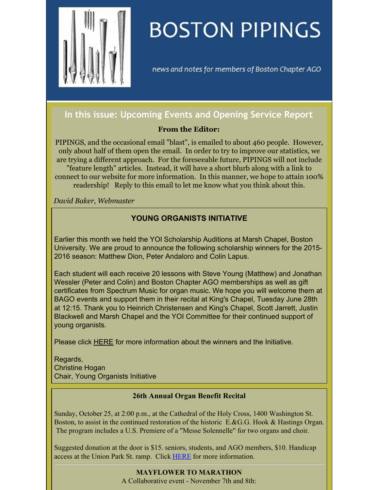

# **BOSTON PIPINGS**

news and notes for members of Boston Chapter AGO

## **In this issue: Upcoming Events and Opening Service Report**

#### **From the Editor:**

PIPINGS, and the occasional email "blast", is emailed to about 460 people. However, only about half of them open the email. In order to try to improve our statistics, we are trying a different approach. For the foreseeable future, PIPINGS will not include "feature length" articles. Instead, it will have a short blurb along with a link to connect to our website for more information. In this manner, we hope to attain 100% readership! Reply to this email to let me know what you think about this.

*David Baker, Webmaster*

## **YOUNG ORGANISTS INITIATIVE**

Earlier this month we held the YOI Scholarship Auditions at Marsh Chapel, Boston University. We are proud to announce the following scholarship winners for the 2015- 2016 season: Matthew Dion, Peter Andaloro and Colin Lapus.

Each student will each receive 20 lessons with Steve Young (Matthew) and Jonathan Wessler (Peter and Colin) and Boston Chapter AGO memberships as well as gift certificates from Spectrum Music for organ music. We hope you will welcome them at BAGO events and support them in their recital at King's Chapel, Tuesday June 28th at 12:15. Thank you to Heinrich Christensen and King's Chapel, Scott Jarrett, Justin Blackwell and Marsh Chapel and the YOI Committee for their continued support of young organists.

Please click **[HERE](http://www.bostonago.org/youth/)** for more information about the winners and the Initiative.

Regards, Christine Hogan Chair, Young Organists Initiative

#### **26th Annual Organ Benefit Recital**

Sunday, October 25, at 2:00 p.m., at the Cathedral of the Holy Cross, 1400 Washington St. Boston, to assist in the continued restoration of the historic E.&G.G. Hook & Hastings Organ. The program includes a U.S. Premiere of a "Messe Solennelle" for two organs and choir.

Suggested donation at the door is \$15. seniors, students, and AGO members, \$10. Handicap access at the Union Park St. ramp. Click [HERE](http://www.bostonago.org/chapter/programs/#CATHEDRAL) for more information.

## **MAYFLOWER TO MARATHON**

A Collaborative event - November 7th and 8th: